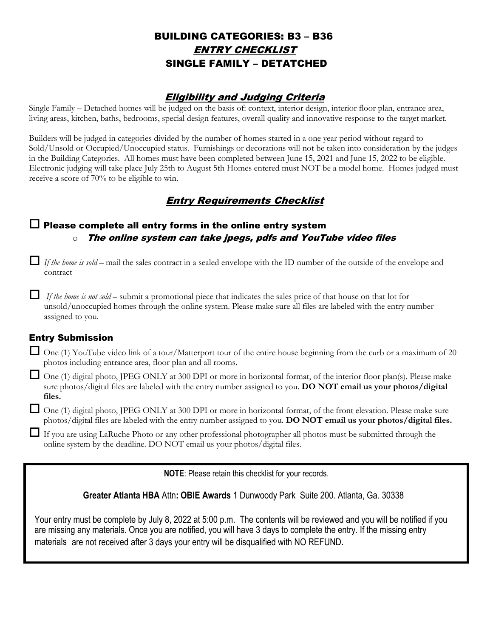## BUILDING CATEGORIES: B3 – B36 ENTRY CHECKLIST SINGLE FAMILY – DETATCHED

### Eligibility and Judging Criteria

Single Family – Detached homes will be judged on the basis of: context, interior design, interior floor plan, entrance area, living areas, kitchen, baths, bedrooms, special design features, overall quality and innovative response to the target market.

Builders will be judged in categories divided by the number of homes started in a one year period without regard to Sold/Unsold or Occupied/Unoccupied status. Furnishings or decorations will not be taken into consideration by the judges in the Building Categories. All homes must have been completed between June 15, 2021 and June 15, 2022 to be eligible. Electronic judging will take place July 25th to August 5th Homes entered must NOT be a model home. Homes judged must receive a score of 70% to be eligible to win.

## Entry Requirements Checklist

### $\Box$  Please complete all entry forms in the online entry system The online system can take jpegs and YouTube video files

 *If the home is sold* – mail the sales contract in a sealed envelope with the ID number of the outside of the envelope and contract

 *If the home is not sold* – submit a promotional piece that indicates the sales price of that house on that lot for unsold/unoccupied homes through the online system. Please make sure all files are labeled with the entry number assigned to you.

#### Entry Submission

 $\Box$  One (1) YouTube video link of a tour/Matterport tour of the entire house beginning from the curb or a maximum of 20 photos including entrance area, floor plan and all rooms.

 One (1) digital photo, JPEG ONLY at 300 DPI or more in horizontal format, of the interior floor plan(s). Please make sure photos/digital files are labeled with the entry number assigned to you. **DO NOT email us your photos/digital files.** 

 One (1) digital photo, JPEG ONLY at 300 DPI or more in horizontal format, of the front elevation. Please make sure photos/digital files are labeled with the entry number assigned to you. **DO NOT email us your photos/digital files.**

 If you are using LaRuche Photo or any other professional photographer all photos must be submitted through the online system by the deadline. DO NOT email us your photos/digital files.

**NOTE**: Please retain this checklist for your records.

**Greater Atlanta HBA** Attn**: OBIE Awards** 1 Dunwoody Park Suite 200. Atlanta, Ga. 30338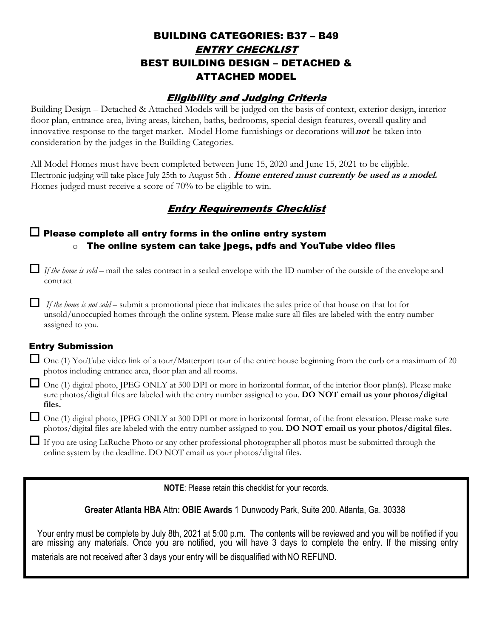## BUILDING CATEGORIES: B37 – B49 ENTRY CHECKLIST BEST BUILDING DESIGN – DETACHED & ATTACHED MODEL

### Eligibility and Judging Criteria

Building Design – Detached & Attached Models will be judged on the basis of context, exterior design, interior floor plan, entrance area, living areas, kitchen, baths, bedrooms, special design features, overall quality and innovative response to the target market. Model Home furnishings or decorations will **not** be taken into consideration by the judges in the Building Categories.

All Model Homes must have been completed between June 15, 2020 and June 15, 2021 to be eligible. Electronic judging will take place July 25th to August 5th . **Home entered must currently be used as a model.** Homes judged must receive a score of 70% to be eligible to win.

## Entry Requirements Checklist

### $\Box$  Please complete all entry forms in the online entry system  $\circ$  The online system can take jpegs and YouTube video files

 *If the home is sold* – mail the sales contract in a sealed envelope with the ID number of the outside of the envelope and contract

 *If the home is not sold* – submit a promotional piece that indicates the sales price of that house on that lot for unsold/unoccupied homes through the online system. Please make sure all files are labeled with the entry number assigned to you.

### Entry Submission

 $\Box$  One (1) YouTube video link of a tour/Matterport tour of the entire house beginning from the curb or a maximum of 20 photos including entrance area, floor plan and all rooms.

 One (1) digital photo, JPEG ONLY at 300 DPI or more in horizontal format, of the interior floor plan(s). Please make sure photos/digital files are labeled with the entry number assigned to you. **DO NOT email us your photos/digital files.** 

 One (1) digital photo, JPEG ONLY at 300 DPI or more in horizontal format, of the front elevation. Please make sure photos/digital files are labeled with the entry number assigned to you. **DO NOT email us your photos/digital files.**

 If you are using LaRuche Photo or any other professional photographer all photos must be submitted through the online system by the deadline. DO NOT email us your photos/digital files.

**NOTE**: Please retain this checklist for your records.

**Greater Atlanta HBA** Attn**: OBIE Awards** 1 Dunwoody Park, Suite 200. Atlanta, Ga. 30338

materials are not received after 3 days your entry will be disqualified with NO REFUND. Your entry must be complete by July 8th, 2022 at 5:00 p.m. The contents will be reviewed and you will be notified if you are missing any materials. Once you are notified, you will have 3 days to complete the entry. If the missing entry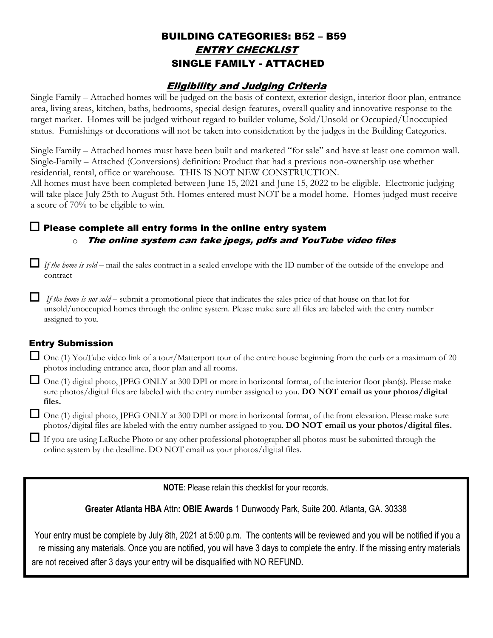## BUILDING CATEGORIES: B52 – B59 ENTRY CHECKLIST SINGLE FAMILY - ATTACHED

### Eligibility and Judging Criteria

Single Family – Attached homes will be judged on the basis of context, exterior design, interior floor plan, entrance area, living areas, kitchen, baths, bedrooms, special design features, overall quality and innovative response to the target market. Homes will be judged without regard to builder volume, Sold/Unsold or Occupied/Unoccupied status. Furnishings or decorations will not be taken into consideration by the judges in the Building Categories.

Single Family – Attached homes must have been built and marketed "for sale" and have at least one common wall. Single-Family – Attached (Conversions) definition: Product that had a previous non-ownership use whether residential, rental, office or warehouse. THIS IS NOT NEW CONSTRUCTION.

All homes must have been completed between June 15, 2021 and June 15, 2022 to be eligible. Electronic judging will take place July 25th to August 5th. Homes entered must NOT be a model home. Homes judged must receive a score of 70% to be eligible to win.

### $\Box$  Please complete all entry forms in the online entry system  $\circ$  The online system can take ipegs and YouTube video files

*If the home is sold* – mail the sales contract in a sealed envelope with the ID number of the outside of the envelope and contract

 *If the home is not sold* – submit a promotional piece that indicates the sales price of that house on that lot for unsold/unoccupied homes through the online system. Please make sure all files are labeled with the entry number assigned to you.

### Entry Submission

 $\Box$  One (1) YouTube video link of a tour/Matterport tour of the entire house beginning from the curb or a maximum of 20 photos including entrance area, floor plan and all rooms.

 One (1) digital photo, JPEG ONLY at 300 DPI or more in horizontal format, of the interior floor plan(s). Please make sure photos/digital files are labeled with the entry number assigned to you. **DO NOT email us your photos/digital files.** 

 One (1) digital photo, JPEG ONLY at 300 DPI or more in horizontal format, of the front elevation. Please make sure photos/digital files are labeled with the entry number assigned to you. **DO NOT email us your photos/digital files.**

 If you are using LaRuche Photo or any other professional photographer all photos must be submitted through the online system by the deadline. DO NOT email us your photos/digital files.

**NOTE**: Please retain this checklist for your records.

**Greater Atlanta HBA** Attn**: OBIE Awards** 1 Dunwoody Park, Suite 200. Atlanta, GA. 30338

Your entry must be complete by July 8th, 2022 at 5:00 p.m. The contents will be reviewed and you will be notified if you a re missing any materials. Once you are notified, you will have 3 days to complete the entry. If the missing entry materials

are not received after 3 days your entry will be disqualified with NO REFUND**.**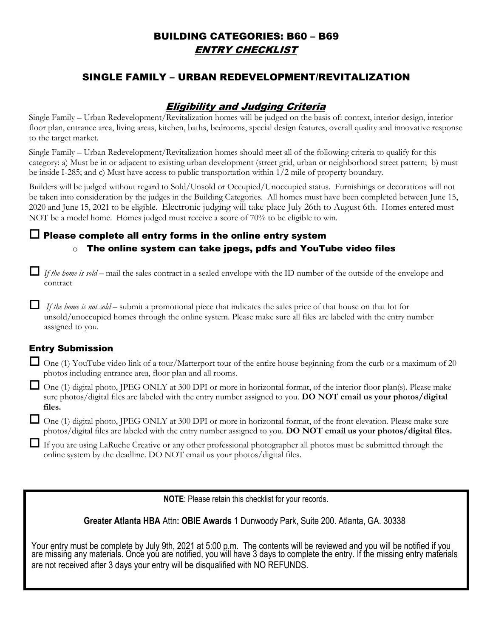## BUILDING CATEGORIES: B62 – B69 ENTRY CHECKLIST

## SINGLE FAMILY – URBAN REDEVELOPMENT/REVITALIZATION

### Eligibility and Judging Criteria

Single Family – Urban Redevelopment/Revitalization homes will be judged on the basis of: context, interior design, interior floor plan, entrance area, living areas, kitchen, baths, bedrooms, special design features, overall quality and innovative response to the target market.

Single Family – Urban Redevelopment/Revitalization homes should meet all of the following criteria to qualify for this category: a) Must be in or adjacent to existing urban development (street grid, urban or neighborhood street pattern; b) must be inside I-285; and c) Must have access to public transportation within 1/2 mile of property boundary.

Builders will be judged without regard to Sold/Unsold or Occupied/Unoccupied status. Furnishings or decorations will not be taken into consideration by the judges in the Building Categories. All homes must have been completed between June 15, 2021 and June 15, 2022 to be eligible. Electronic judging will take place July 25th to August 5th. Homes entered must NOT be a model home. Homes judged must receive a score of 70% to be eligible to win.

## $\Box$  Please complete all entry forms in the online entry system  $\circ$  The online system can take jpegs and YouTube video files

 *If the home is sold* – mail the sales contract in a sealed envelope with the ID number of the outside of the envelope and contract

 *If the home is not sold* – submit a promotional piece that indicates the sales price of that house on that lot for unsold/unoccupied homes through the online system. Please make sure all files are labeled with the entry number assigned to you.

### Entry Submission

 $\Box$  One (1) YouTube video link of a tour/Matterport tour of the entire house beginning from the curb or a maximum of 20 photos including entrance area, floor plan and all rooms.

 One (1) digital photo, JPEG ONLY at 300 DPI or more in horizontal format, of the interior floor plan(s). Please make sure photos/digital files are labeled with the entry number assigned to you. **DO NOT email us your photos/digital files.** 

 One (1) digital photo, JPEG ONLY at 300 DPI or more in horizontal format, of the front elevation. Please make sure photos/digital files are labeled with the entry number assigned to you. **DO NOT email us your photos/digital files.**

 If you are using LaRuche Photo or any other professional photographer all photos must be submitted through the online system by the deadline. DO NOT email us your photos/digital files.

**NOTE**: Please retain this checklist for your records.

**Greater Atlanta HBA** Attn**: OBIE Awards** 1 Dunwoody Park, Suite 200. Atlanta, GA. 30338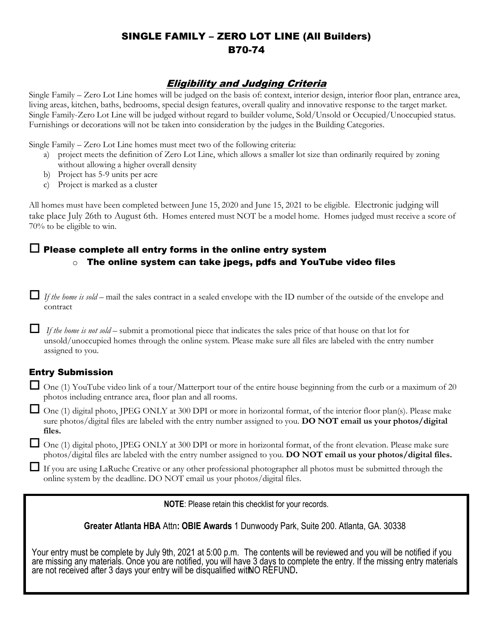## SINGLE FAMILY – ZERO LOT LINE (All Builders) B71-74

### Eligibility and Judging Criteria

Single Family – Zero Lot Line homes will be judged on the basis of: context, interior design, interior floor plan, entrance area, living areas, kitchen, baths, bedrooms, special design features, overall quality and innovative response to the target market. Single Family-Zero Lot Line will be judged without regard to builder volume, Sold/Unsold or Occupied/Unoccupied status. Furnishings or decorations will not be taken into consideration by the judges in the Building Categories.

Single Family – Zero Lot Line homes must meet two of the following criteria:

- a) project meets the definition of Zero Lot Line, which allows a smaller lot size than ordinarily required by zoning without allowing a higher overall density
- b) Project has 5-9 units per acre
- c) Project is marked as a cluster

All homes must have been completed between June 15, 2021 and June 15, 2022 to be eligible. Electronic judging will take place July 25th to August 5th. Homes entered must NOT be a model home. Homes judged must receive a score of 70% to be eligible to win.

## $\Box$  Please complete all entry forms in the online entry system

#### $\circ$  The online system can take jpegs and YouTube video files

*If the home is sold* – mail the sales contract in a sealed envelope with the ID number of the outside of the envelope and contract

 *If the home is not sold* – submit a promotional piece that indicates the sales price of that house on that lot for unsold/unoccupied homes through the online system. Please make sure all files are labeled with the entry number assigned to you.

### Entry Submission

 $\Box$  One (1) YouTube video link of a tour/Matterport tour of the entire house beginning from the curb or a maximum of 20 photos including entrance area, floor plan and all rooms.

 One (1) digital photo, JPEG ONLY at 300 DPI or more in horizontal format, of the interior floor plan(s). Please make sure photos/digital files are labeled with the entry number assigned to you. **DO NOT email us your photos/digital files.** 

 One (1) digital photo, JPEG ONLY at 300 DPI or more in horizontal format, of the front elevation. Please make sure photos/digital files are labeled with the entry number assigned to you. **DO NOT email us your photos/digital files.**

 If you are using LaRuche Photo or any other professional photographer all photos must be submitted through the online system by the deadline. DO NOT email us your photos/digital files.

**NOTE**: Please retain this checklist for your records.

**Greater Atlanta HBA** Attn**: OBIE Awards** 1 Dunwoody Park, Suite 200. Atlanta, GA. 30338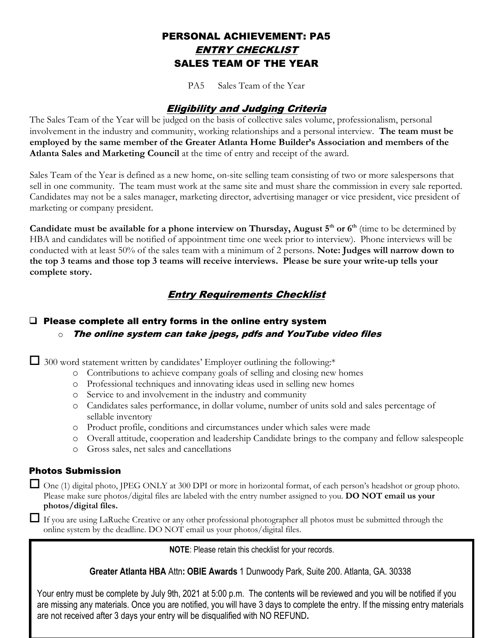## PERSONAL ACHIEVEMENT: PA5 ENTRY CHECKLIST SALES TEAM OF THE YEAR

PA5 Sales Team of the Year

### Eligibility and Judging Criteria

The Sales Team of the Year will be judged on the basis of collective sales volume, professionalism, personal involvement in the industry and community, working relationships and a personal interview. **The team must be employed by the same member of the Greater Atlanta Home Builder's Association and members of the Atlanta Sales and Marketing Council** at the time of entry and receipt of the award.

Sales Team of the Year is defined as a new home, on-site selling team consisting of two or more salespersons that sell in one community. The team must work at the same site and must share the commission in every sale reported. Candidates may not be a sales manager, marketing director, advertising manager or vice president, vice president of marketing or company president.

**Candidate must be available for a phone interview on Thursday, August th or th** (time to be determined by HBA and candidates will be notified of appointment time one week prior to interview). Phone interviews will be conducted with at least 50% of the sales team with a minimum of 2 persons. **Note: Judges will narrow down to the top 3 teams and those top 3 teams will receive interviews. Please be sure your write-up tells your complete story.**

## Entry Requirements Checklist

### $\Box$  Please complete all entry forms in the online entry system  $\circ$  The online system can take jpegs and YouTube video files

 $\Box$  300 word statement written by candidates' Employer outlining the following:\*

- o Contributions to achieve company goals of selling and closing new homes
- o Professional techniques and innovating ideas used in selling new homes
- o Service to and involvement in the industry and community
- o Candidates sales performance, in dollar volume, number of units sold and sales percentage of sellable inventory
- o Product profile, conditions and circumstances under which sales were made
- o Overall attitude, cooperation and leadership Candidate brings to the company and fellow salespeople
- o Gross sales, net sales and cancellations

#### Photos Submission

 One (1) digital photo, JPEG ONLY at 300 DPI or more in horizontal format, of each person's headshot or group photo. Please make sure photos/digital files are labeled with the entry number assigned to you. **DO NOT email us your photos/digital files.**

 If you are using LaRuche Photo or any other professional photographer all photos must be submitted through the online system by the deadline. DO NOT email us your photos/digital files.

**NOTE**: Please retain this checklist for your records.

**Greater Atlanta HBA** Attn**: OBIE Awards** 1 Dunwoody Park, Suite 200. Atlanta, GA. 30338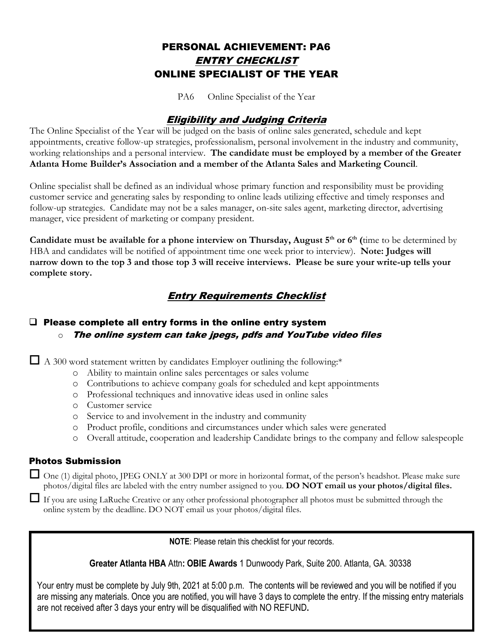## PERSONAL ACHIEVEMENT: PA6 ENTRY CHECKLIST ONLINE SPECIALIST OF THE YEAR

PA6 Online Specialist of the Year

### Eligibility and Judging Criteria

The Online Specialist of the Year will be judged on the basis of online sales generated, schedule and kept appointments, creative follow-up strategies, professionalism, personal involvement in the industry and community, working relationships and a personal interview. **The candidate must be employed by a member of the Greater Atlanta Home Builder's Association and a member of the Atlanta Sales and Marketing Council**.

Online specialist shall be defined as an individual whose primary function and responsibility must be providing customer service and generating sales by responding to online leads utilizing effective and timely responses and follow-up strategies. Candidate may not be a sales manager, on-site sales agent, marketing director, advertising manager, vice president of marketing or company president.

**Candidate must be available for a phone interview on Thursday, August 4 th or 5 th (**time to be determined by HBA and candidates will be notified of appointment time one week prior to interview). **Note: Judges will narrow down to the top 3 and those top 3 will receive interviews. Please be sure your write-up tells your complete story.** 

## Entry Requirements Checklist

### □ Please complete all entry forms in the online entry system  $\circ$  The online system can take ipegs and YouTube video files

 $\Box$  A 300 word statement written by candidates Employer outlining the following:\*

- o Ability to maintain online sales percentages or sales volume
- o Contributions to achieve company goals for scheduled and kept appointments
- o Professional techniques and innovative ideas used in online sales
- o Customer service
- o Service to and involvement in the industry and community
- o Product profile, conditions and circumstances under which sales were generated
- o Overall attitude, cooperation and leadership Candidate brings to the company and fellow salespeople

#### Photos Submission

 One (1) digital photo, JPEG ONLY at 300 DPI or more in horizontal format, of the person's headshot. Please make sure you are using LaRuche Photo or any other professional photographer all photos must be submitted through the online photos/digital files are labeled with the entry number assigned to you. **DO NOT email us your photos/digital files.** If system by the deadline. DO NOT email us your photos/digital files.

**NOTE**: Please retain this checklist for your records.

**Greater Atlanta HBA** Attn**: OBIE Awards** 1 Dunwoody Park, Suite 200. Atlanta, GA. 30338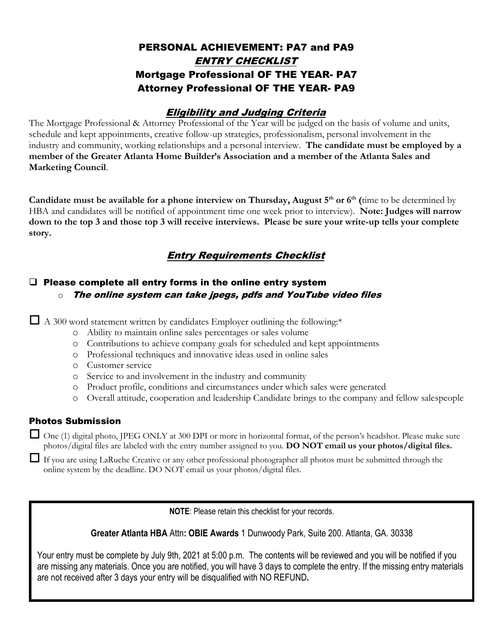## PERSONAL ACHIEVEMENT: PA7 and PA9 ENTRY CHECKLIST Mortgage Professional OF THE YEAR- PA7 Attorney Professional OF THE YEAR- PA9

## Eligibility and Judging Criteria

The Mortgage Professional & Attorney Professional of the Year will be judged on the basis of volume and units, schedule and kept appointments, creative follow-up strategies, professionalism, personal involvement in the industry and community, working relationships and a personal interview. **The candidate must be employed by a member of the Greater Atlanta Home Builder's Association and a member of the Atlanta Sales and Marketing Council**.

**Candidate must be available for a phone interview on Thursday, August 4 th or 5 th (**time to be determined by HBA and candidates will be notified of appointment time one week prior to interview). **Note: Judges will narrow down to the top 3 and those top 3 will receive interviews. Please be sure your write-up tells your complete story.**

## Entry Requirements Checklist

### $\Box$  Please complete all entry forms in the online entry system  $\circ$  The online system can take jpegs and YouTube video files

 $\Box$  A 300 word statement written by candidates Employer outlining the following:\*

- o Ability to maintain online sales percentages or sales volume
- o Contributions to achieve company goals for scheduled and kept appointments
- o Professional techniques and innovative ideas used in online sales
- o Customer service
- o Service to and involvement in the industry and community
- o Product profile, conditions and circumstances under which sales were generated
- o Overall attitude, cooperation and leadership Candidate brings to the company and fellow salespeople

#### Photos Submission

 One (1) digital photo, JPEG ONLY at 300 DPI or more in horizontal format, of the person's headshot. Please make sure you are using LaRuche Photo or any other professional photographer all photos must be submitted through the online photos/digital files are labeled with the entry number assigned to you. **DO NOT email us your photos/digital files.** If system by the deadline. DO NOT email us your photos/digital files.

**NOTE**: Please retain this checklist for your records.

**Greater Atlanta HBA** Attn**: OBIE Awards** 1 Dunwoody Park, Suite 200. Atlanta, GA. 30338

are missing any materials. Once you are notified, you will have 3 days to complete the entry. If the missing entry materials are not received after 3 days your entry will be disqualified with NO REFUND**.** Your entry must be complete by July 9th, 2021 at 5:00 p.m. The contents will be reviewed and you will be notified if you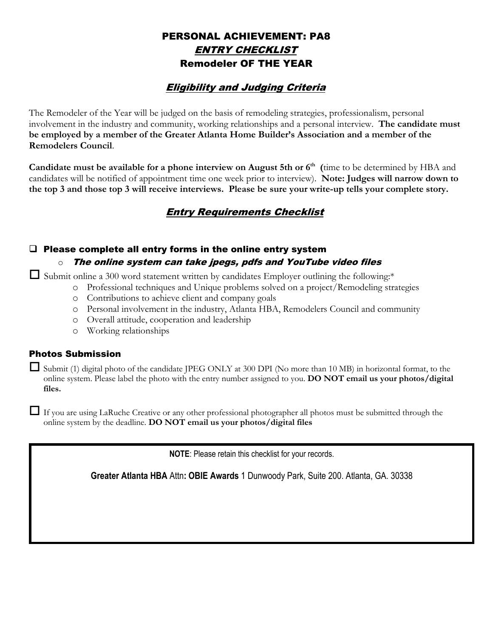## PERSONAL ACHIEVEMENT: PA8 ENTRY CHECKLIST Remodeler OF THE YEAR

## Eligibility and Judging Criteria

The Remodeler of the Year will be judged on the basis of remodeling strategies, professionalism, personal involvement in the industry and community, working relationships and a personal interview. **The candidate must be employed by a member of the Greater Atlanta Home Builder's Association and a member of the Remodelers Council**.

**Candidate must be available for a phone interview on August 5th or 6 th (**time to be determined by HBA and candidates will be notified of appointment time one week prior to interview). **Note: Judges will narrow down to the top 3 and those top 3 will receive interviews. Please be sure your write-up tells your complete story.**

## Entry Requirements Checklist

### $\Box$  Please complete all entry forms in the online entry system

#### $\circ$  The online system can take jpegs, pdfs and YouTube video files

 $\Box$  Submit online a 300 word statement written by candidates Employer outlining the following:\*

- o Professional techniques and Unique problems solved on a project/Remodeling strategies
- o Contributions to achieve client and company goals
- o Personal involvement in the industry, Atlanta HBA, Remodelers Council and community
- o Overall attitude, cooperation and leadership
- o Working relationships

#### Photos Submission

 Submit (1) digital photo of the candidate JPEG ONLY at 300 DPI (No more than 10 MB) in horizontal format, to the online system. Please label the photo with the entry number assigned to you. **DO NOT email us your photos/digital files.**

 If you are using LaRuche Creative or any other professional photographer all photos must be submitted through the online system by the deadline. **DO NOT email us your photos/digital files**

**NOTE**: Please retain this checklist for your records.

**Greater Atlanta HBA** Attn**: OBIE Awards** 1 Dunwoody Park, Suite 200. Atlanta, GA. 30338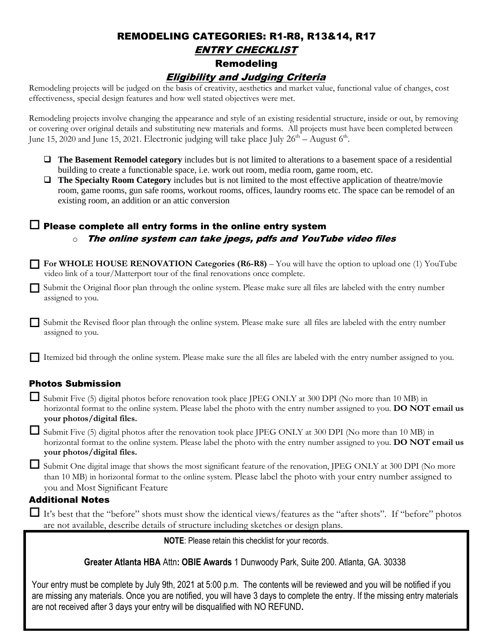# REMODELING CATEGORIES: R1-R8, R13&14, R17 ENTRY CHECKLIST Remodeling

Eligibility and Judging Criteria

Remodeling projects will be judged on the basis of creativity, aesthetics and market value, functional value of changes, cost effectiveness, special design features and how well stated objectives were met.

Remodeling projects involve changing the appearance and style of an existing residential structure, inside or out, by removing or covering over original details and substituting new materials and forms. All projects must have been completed between June 15, 2020 and June 15, 2021. Electronic judging will take place July  $26^{\text{th}}$  – August  $6^{\text{th}}$ .

- ❑ **The Basement Remodel category** includes but is not limited to alterations to a basement space of a residential building to create a functionable space, i.e. work out room, media room, game room, etc.
- ❑ **The Specialty Room Category** includes but is not limited to the most effective application of theatre/movie room, game rooms, gun safe rooms, workout rooms, offices, laundry rooms etc. The space can be remodel of an existing room, an addition or an attic conversion

### $\Box$  Please complete all entry forms in the online entry system  $\circ$  The online system can take jpegs, pdfs and YouTube video files

- **For WHOLE HOUSE RENOVATION Categories (R6-R8)** You will have the option to upload one (1) YouTube video link of a tour/Matterport tour of the final renovations once complete.
- Submit the Original floor plan through the online system. Please make sure all files are labeled with the entry number assigned to you.

 Submit the Revised floor plan through the online system. Please make sure all files are labeled with the entry number assigned to you.

Itemized bid through the online system. Please make sure the all files are labeled with the entry number assigned to you.

### Photos Submission

Submit Five (5) digital photos before renovation took place JPEG ONLY at 300 DPI (No more than 10 MB) in horizontal format to the online system. Please label the photo with the entry number assigned to you. **DO NOT email us your photos/digital files.**

Submit Five (5) digital photos after the renovation took place JPEG ONLY at 300 DPI (No more than 10 MB) in horizontal format to the online system. Please label the photo with the entry number assigned to you. **DO NOT email us your photos/digital files.**

Submit One digital image that shows the most significant feature of the renovation, JPEG ONLY at 300 DPI (No more than 10 MB) in horizontal format to the online system. Please label the photo with your entry number assigned to you and Most Significant Feature

#### Additional Notes

 $\Box$  It's best that the "before" shots must show the identical views/features as the "after shots". If "before" photos are not available, describe details of structure including sketches or design plans.

**NOTE**: Please retain this checklist for your records.

**Greater Atlanta HBA** Attn**: OBIE Awards** 1 Dunwoody Park, Suite 200. Atlanta, GA. 30338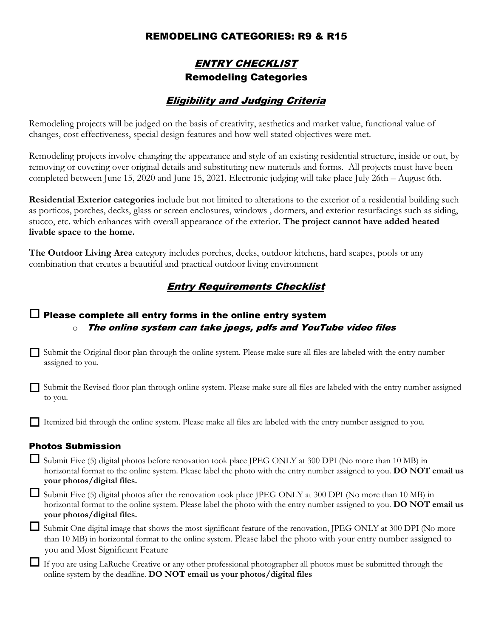### REMODELING CATEGORIES: R9 & R15

## ENTRY CHECKLIST Remodeling Categories

### Eligibility and Judging Criteria

Remodeling projects will be judged on the basis of creativity, aesthetics and market value, functional value of changes, cost effectiveness, special design features and how well stated objectives were met.

Remodeling projects involve changing the appearance and style of an existing residential structure, inside or out, by removing or covering over original details and substituting new materials and forms. All projects must have been completed between June 15, 2020 and June 15, 2021. Electronic judging will take place July 26th – August 6th.

**Residential Exterior categories** include but not limited to alterations to the exterior of a residential building such as porticos, porches, decks, glass or screen enclosures, windows , dormers, and exterior resurfacings such as siding, stucco, etc. which enhances with overall appearance of the exterior. **The project cannot have added heated livable space to the home.** 

**The Outdoor Living Area** category includes porches, decks, outdoor kitchens, hard scapes, pools or any combination that creates a beautiful and practical outdoor living environment

### Entry Requirements Checklist

### $\Box$  Please complete all entry forms in the online entry system  $\circ$  The online system can take jpegs, pdfs and YouTube video files

- Submit the Original floor plan through the online system. Please make sure all files are labeled with the entry number assigned to you.
- $\Box$  Submit the Revised floor plan through online system. Please make sure all files are labeled with the entry number assigned to you.

Itemized bid through the online system. Please make all files are labeled with the entry number assigned to you.

#### Photos Submission

 Submit Five (5) digital photos before renovation took place JPEG ONLY at 300 DPI (No more than 10 MB) in horizontal format to the online system. Please label the photo with the entry number assigned to you. **DO NOT email us your photos/digital files.**

 Submit Five (5) digital photos after the renovation took place JPEG ONLY at 300 DPI (No more than 10 MB) in horizontal format to the online system. Please label the photo with the entry number assigned to you. **DO NOT email us your photos/digital files.**

 Submit One digital image that shows the most significant feature of the renovation, JPEG ONLY at 300 DPI (No more than 10 MB) in horizontal format to the online system. Please label the photo with your entry number assigned to you and Most Significant Feature

 If you are using LaRuche Creative or any other professional photographer all photos must be submitted through the online system by the deadline. **DO NOT email us your photos/digital files**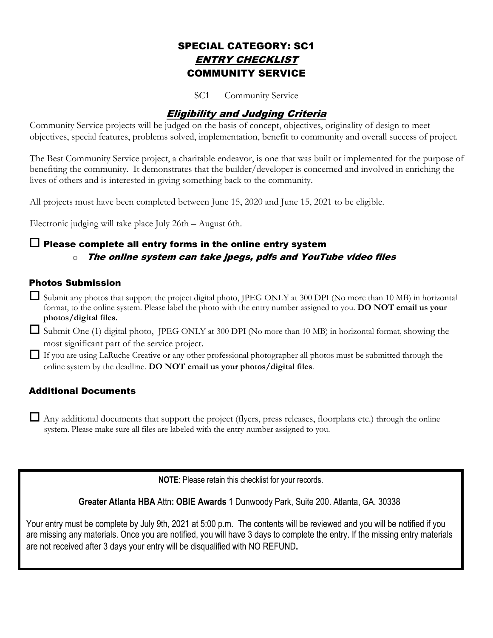## SPECIAL CATEGORY: SC1 ENTRY CHECKLIST COMMUNITY SERVICE

SC1 Community Service

## Eligibility and Judging Criteria

Community Service projects will be judged on the basis of concept, objectives, originality of design to meet objectives, special features, problems solved, implementation, benefit to community and overall success of project.

The Best Community Service project, a charitable endeavor, is one that was built or implemented for the purpose of benefiting the community. It demonstrates that the builder/developer is concerned and involved in enriching the lives of others and is interested in giving something back to the community.

All projects must have been completed between June 15, 2020 and June 15, 2021 to be eligible.

Electronic judging will take place July 26th – August 6th.

### $\Box$  Please complete all entry forms in the online entry system  $\circ$  The online system can take jpegs, pdfs and YouTube video files

#### Photos Submission

 $\Box$  Submit any photos that support the project digital photo, JPEG ONLY at 300 DPI (No more than 10 MB) in horizontal format, to the online system. Please label the photo with the entry number assigned to you. **DO NOT email us your photos/digital files.**

 Submit One (1) digital photo, JPEG ONLY at 300 DPI (No more than 10 MB) in horizontal format, showing the most significant part of the service project.

 If you are using LaRuche Creative or any other professional photographer all photos must be submitted through the online system by the deadline. **DO NOT email us your photos/digital files**.

#### Additional Documents

 Any additional documents that support the project (flyers, press releases, floorplans etc.) through the online system. Please make sure all files are labeled with the entry number assigned to you.

**NOTE**: Please retain this checklist for your records.

**Greater Atlanta HBA** Attn**: OBIE Awards** 1 Dunwoody Park, Suite 200. Atlanta, GA. 30338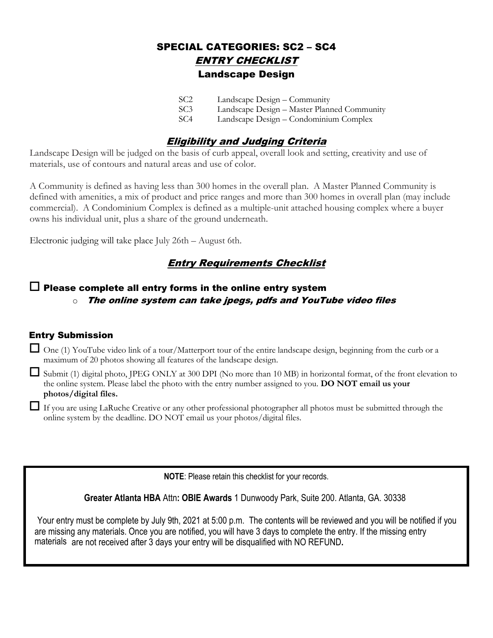## SPECIAL CATEGORIES: SC2 – SC4 ENTRY CHECKLIST Landscape Design

| SC <sub>2</sub> | Landscape Design – Community                |
|-----------------|---------------------------------------------|
| SC <sub>3</sub> | Landscape Design - Master Planned Community |
| SC4             | Landscape Design – Condominium Complex      |

## Eligibility and Judging Criteria

Landscape Design will be judged on the basis of curb appeal, overall look and setting, creativity and use of materials, use of contours and natural areas and use of color.

A Community is defined as having less than 300 homes in the overall plan. A Master Planned Community is defined with amenities, a mix of product and price ranges and more than 300 homes in overall plan (may include commercial). A Condominium Complex is defined as a multiple-unit attached housing complex where a buyer owns his individual unit, plus a share of the ground underneath.

Electronic judging will take place July 26th – August 6th.

## **Entry Requirements Checklist**

#### $\Box$  Please complete all entry forms in the online entry system  $\circ$  The online system can take jpegs, pdfs and YouTube video files

#### Entry Submission

 One (1) YouTube video link of a tour/Matterport tour of the entire landscape design, beginning from the curb or a maximum of 20 photos showing all features of the landscape design.

 Submit (1) digital photo, JPEG ONLY at 300 DPI (No more than 10 MB) in horizontal format, of the front elevation to the online system. Please label the photo with the entry number assigned to you. **DO NOT email us your photos/digital files.** 

 If you are using LaRuche Creative or any other professional photographer all photos must be submitted through the online system by the deadline. DO NOT email us your photos/digital files.

**NOTE**: Please retain this checklist for your records.

**Greater Atlanta HBA** Attn**: OBIE Awards** 1 Dunwoody Park, Suite 200. Atlanta, GA. 30338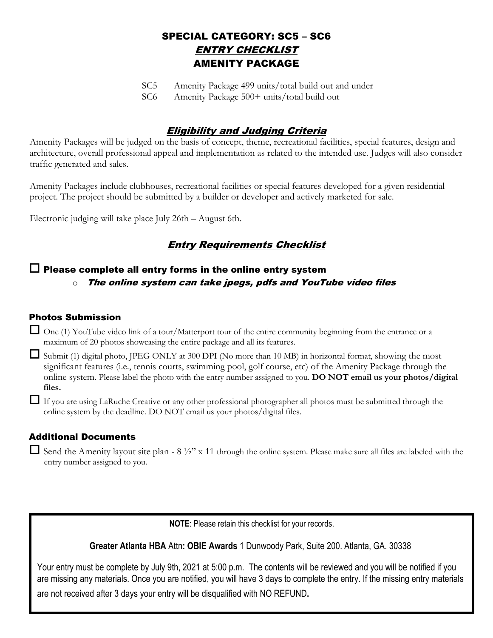## SPECIAL CATEGORY: SC5 – SC6 ENTRY CHECKLIST AMENITY PACKAGE

SC5 Amenity Package 499 units/total build out and under

SC6 Amenity Package 500+ units/total build out

## Eligibility and Judging Criteria

Amenity Packages will be judged on the basis of concept, theme, recreational facilities, special features, design and architecture, overall professional appeal and implementation as related to the intended use. Judges will also consider traffic generated and sales.

Amenity Packages include clubhouses, recreational facilities or special features developed for a given residential project. The project should be submitted by a builder or developer and actively marketed for sale.

Electronic judging will take place July 26th – August 6th.

## Entry Requirements Checklist

#### $\Box$  Please complete all entry forms in the online entry system  $\circ$  The online system can take ipegs, pdfs and YouTube video files

#### Photos Submission

 One (1) YouTube video link of a tour/Matterport tour of the entire community beginning from the entrance or a maximum of 20 photos showcasing the entire package and all its features.

 Submit (1) digital photo, JPEG ONLY at 300 DPI (No more than 10 MB) in horizontal format, showing the most significant features (i.e., tennis courts, swimming pool, golf course, etc) of the Amenity Package through the online system. Please label the photo with the entry number assigned to you. **DO NOT email us your photos/digital files.** 

 If you are using LaRuche Creative or any other professional photographer all photos must be submitted through the online system by the deadline. DO NOT email us your photos/digital files.

#### Additional Documents

Send the Amenity layout site plan -  $8\frac{1}{2}$ " x 11 through the online system. Please make sure all files are labeled with the entry number assigned to you.

**NOTE**: Please retain this checklist for your records.

**Greater Atlanta HBA** Attn**: OBIE Awards** 1 Dunwoody Park, Suite 200. Atlanta, GA. 30338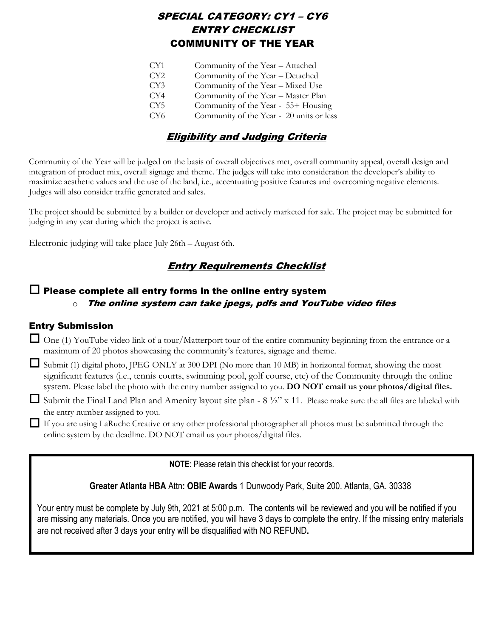## SPECIAL CATEGORY: CY1 – CY6 ENTRY CHECKLIST COMMUNITY OF THE YEAR

| CY1             | Community of the Year - Attached         |
|-----------------|------------------------------------------|
|                 |                                          |
| CY2             | Community of the Year - Detached         |
| CY3             | Community of the Year - Mixed Use        |
| CY4             | Community of the Year - Master Plan      |
| CY5             | Community of the Year - 55+ Housing      |
| CY <sub>6</sub> | Community of the Year - 20 units or less |
|                 |                                          |

## Eligibility and Judging Criteria

Community of the Year will be judged on the basis of overall objectives met, overall community appeal, overall design and integration of product mix, overall signage and theme. The judges will take into consideration the developer's ability to maximize aesthetic values and the use of the land, i.e., accentuating positive features and overcoming negative elements. Judges will also consider traffic generated and sales.

The project should be submitted by a builder or developer and actively marketed for sale. The project may be submitted for judging in any year during which the project is active.

Electronic judging will take place July 26th – August 6th.

### Entry Requirements Checklist

#### $\Box$  Please complete all entry forms in the online entry system  $\circ$  The online system can take jpegs, pdfs and YouTube video files

#### Entry Submission

 One (1) YouTube video link of a tour/Matterport tour of the entire community beginning from the entrance or a maximum of 20 photos showcasing the community's features, signage and theme.

Submit (1) digital photo, JPEG ONLY at 300 DPI (No more than 10 MB) in horizontal format, showing the most significant features (i.e., tennis courts, swimming pool, golf course, etc) of the Community through the online system. Please label the photo with the entry number assigned to you. **DO NOT email us your photos/digital files.**

 $\Box$  Submit the Final Land Plan and Amenity layout site plan - 8 ½" x 11. Please make sure the all files are labeled with the entry number assigned to you.

 If you are using LaRuche Creative or any other professional photographer all photos must be submitted through the online system by the deadline. DO NOT email us your photos/digital files.

**NOTE**: Please retain this checklist for your records.

**Greater Atlanta HBA** Attn**: OBIE Awards** 1 Dunwoody Park, Suite 200. Atlanta, GA. 30338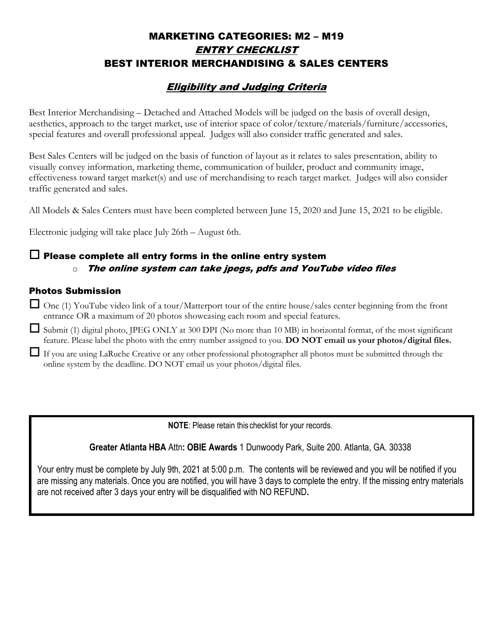## MARKETING CATEGORIES: M2 – M19 ENTRY CHECKLIST BEST INTERIOR MERCHANDISING & SALES CENTERS

## Eligibility and Judging Criteria

Best Interior Merchandising – Detached and Attached Models will be judged on the basis of overall design, aesthetics, approach to the target market, use of interior space of color/texture/materials/furniture/accessories, special features and overall professional appeal. Judges will also consider traffic generated and sales.

Best Sales Centers will be judged on the basis of function of layout as it relates to sales presentation, ability to visually convey information, marketing theme, communication of builder, product and community image, effectiveness toward target market(s) and use of merchandising to reach target market. Judges will also consider traffic generated and sales.

All Models & Sales Centers must have been completed between June 15, 2020 and June 15, 2021 to be eligible.

Electronic judging will take place July 26th – August 6th.

### $\Box$  Please complete all entry forms in the online entry system  $\circ$  The online system can take jpegs, pdfs and YouTube video files

#### Photos Submission

 One (1) YouTube video link of a tour/Matterport tour of the entire house/sales center beginning from the front entrance OR a maximum of 20 photos showcasing each room and special features.

Submit (1) digital photo, JPEG ONLY at 300 DPI (No more than 10 MB) in horizontal format, of the most significant feature. Please label the photo with the entry number assigned to you. **DO NOT email us your photos/digital files.**

 If you are using LaRuche Creative or any other professional photographer all photos must be submitted through the online system by the deadline. DO NOT email us your photos/digital files.

**NOTE**: Please retain this checklist for your records.

**Greater Atlanta HBA** Attn**: OBIE Awards** 1 Dunwoody Park, Suite 200. Atlanta, GA. 30338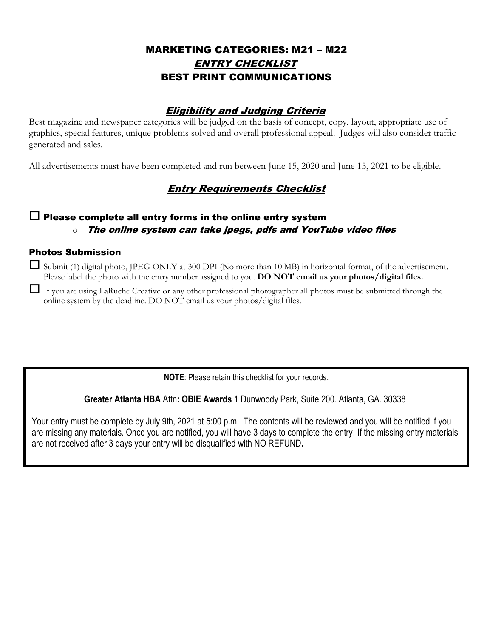## MARKETING CATEGORIES: M21 – M22 ENTRY CHECKLIST BEST PRINT COMMUNICATIONS

### Eligibility and Judging Criteria

Best magazine and newspaper categories will be judged on the basis of concept, copy, layout, appropriate use of graphics, special features, unique problems solved and overall professional appeal. Judges will also consider traffic generated and sales.

All advertisements must have been completed and run between June 15, 2020 and June 15, 2021 to be eligible.

## Entry Requirements Checklist

### $\Box$  Please complete all entry forms in the online entry system  $\circ$  The online system can take jpegs, pdfs and YouTube video files

#### Photos Submission

 $\Box$  Submit (1) digital photo, JPEG ONLY at 300 DPI (No more than 10 MB) in horizontal format, of the advertisement. Please label the photo with the entry number assigned to you. **DO NOT email us your photos/digital files.**

 If you are using LaRuche Creative or any other professional photographer all photos must be submitted through the online system by the deadline. DO NOT email us your photos/digital files.

**NOTE**: Please retain this checklist for your records.

**Greater Atlanta HBA** Attn**: OBIE Awards** 1 Dunwoody Park, Suite 200. Atlanta, GA. 30338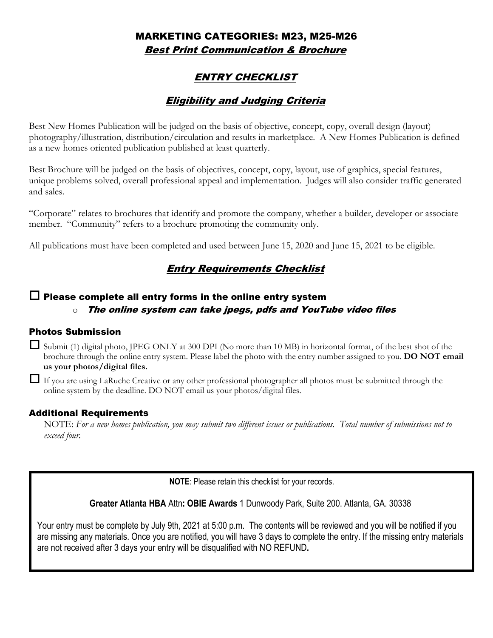## MARKETING CATEGORIES: M23, M25-M26 Best Print Communication & Brochure

## ENTRY CHECKLIST

## Eligibility and Judging Criteria

Best New Homes Publication will be judged on the basis of objective, concept, copy, overall design (layout) photography/illustration, distribution/circulation and results in marketplace. A New Homes Publication is defined as a new homes oriented publication published at least quarterly.

Best Brochure will be judged on the basis of objectives, concept, copy, layout, use of graphics, special features, unique problems solved, overall professional appeal and implementation. Judges will also consider traffic generated and sales.

"Corporate" relates to brochures that identify and promote the company, whether a builder, developer or associate member. "Community" refers to a brochure promoting the community only.

All publications must have been completed and used between June 15, 2020 and June 15, 2021 to be eligible.

## Entry Requirements Checklist

### $\Box$  Please complete all entry forms in the online entry system

#### $\circ$  The online system can take jpegs, pdfs and YouTube video files

#### Photos Submission

 $\Box$  Submit (1) digital photo, JPEG ONLY at 300 DPI (No more than 10 MB) in horizontal format, of the best shot of the brochure through the online entry system. Please label the photo with the entry number assigned to you. **DO NOT email us your photos/digital files.**

 $\Box$  If you are using LaRuche Creative or any other professional photographer all photos must be submitted through the online system by the deadline. DO NOT email us your photos/digital files.

#### Additional Requirements

NOTE: *For a new homes publication, you may submit two different issues or publications. Total number of submissions not to exceed four.*

**NOTE**: Please retain this checklist for your records.

**Greater Atlanta HBA** Attn**: OBIE Awards** 1 Dunwoody Park, Suite 200. Atlanta, GA. 30338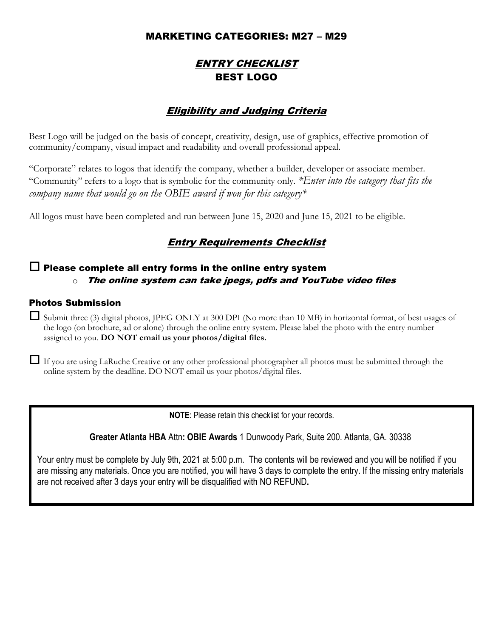### MARKETING CATEGORIES: M27 – M29

## ENTRY CHECKLIST BEST LOGO

## Eligibility and Judging Criteria

Best Logo will be judged on the basis of concept, creativity, design, use of graphics, effective promotion of community/company, visual impact and readability and overall professional appeal.

"Corporate" relates to logos that identify the company, whether a builder, developer or associate member. "Community" refers to a logo that is symbolic for the community only. *\*Enter into the category that fits the company name that would go on the OBIE award if won for this category\** 

All logos must have been completed and run between June 15, 2020 and June 15, 2021 to be eligible.

## Entry Requirements Checklist

### $\Box$  Please complete all entry forms in the online entry system  $\circ$  The online system can take jpegs, pdfs and YouTube video files

#### Photos Submission

 $\Box$  Submit three (3) digital photos, JPEG ONLY at 300 DPI (No more than 10 MB) in horizontal format, of best usages of the logo (on brochure, ad or alone) through the online entry system. Please label the photo with the entry number assigned to you. **DO NOT email us your photos/digital files.**

 If you are using LaRuche Creative or any other professional photographer all photos must be submitted through the online system by the deadline. DO NOT email us your photos/digital files.

**NOTE**: Please retain this checklist for your records.

**Greater Atlanta HBA** Attn**: OBIE Awards** 1 Dunwoody Park, Suite 200. Atlanta, GA. 30338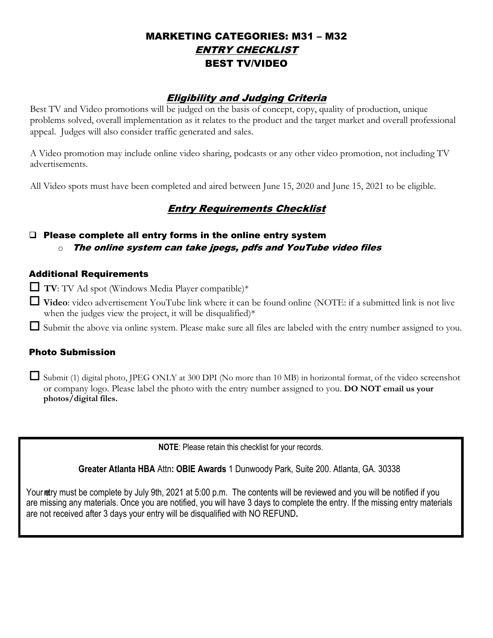## MARKETING CATEGORIES: M31 – M32 ENTRY CHECKLIST BEST TV/VIDEO

### Eligibility and Judging Criteria

Best TV and Video promotions will be judged on the basis of concept, copy, quality of production, unique problems solved, overall implementation as it relates to the product and the target market and overall professional appeal. Judges will also consider traffic generated and sales.

A Video promotion may include online video sharing, podcasts or any other video promotion, not including TV advertisements.

All Video spots must have been completed and aired between June 15, 2020 and June 15, 2021 to be eligible.

## Entry Requirements Checklist

### □ Please complete all entry forms in the online entry system  $\circ$  The online system can take jpegs, pdfs and YouTube video files

#### Additional Requirements

 $\Box$  TV: TV Ad spot (Windows Media Player compatible)\*

- **Video**: video advertisement YouTube link where it can be found online (NOTE: if a submitted link is not live when the judges view the project, it will be disqualified) $*$
- Submit the above via online system. Please make sure all files are labeled with the entry number assigned to you.

#### Photo Submission

 $\Box$  Submit (1) digital photo, JPEG ONLY at 300 DPI (No more than 10 MB) in horizontal format, of the video screenshot or company logo. Please label the photo with the entry number assigned to you. **DO NOT email us your photos/digital files.**

**NOTE**: Please retain this checklist for your records.

**Greater Atlanta HBA** Attn**: OBIE Awards** 1 Dunwoody Park, Suite 200. Atlanta, GA. 30338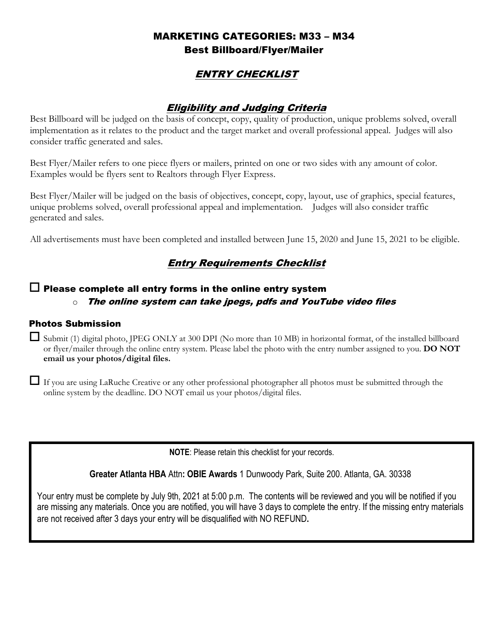## MARKETING CATEGORIES: M33 – M34 Best Billboard/Flyer/Mailer

## ENTRY CHECKLIST

### Eligibility and Judging Criteria

Best Billboard will be judged on the basis of concept, copy, quality of production, unique problems solved, overall implementation as it relates to the product and the target market and overall professional appeal. Judges will also consider traffic generated and sales.

Best Flyer/Mailer refers to one piece flyers or mailers, printed on one or two sides with any amount of color. Examples would be flyers sent to Realtors through Flyer Express.

Best Flyer/Mailer will be judged on the basis of objectives, concept, copy, layout, use of graphics, special features, unique problems solved, overall professional appeal and implementation. Judges will also consider traffic generated and sales.

All advertisements must have been completed and installed between June 15, 2020 and June 15, 2021 to be eligible.

## Entry Requirements Checklist

#### $\Box$  Please complete all entry forms in the online entry system  $\circ$  The online system can take jpegs, pdfs and YouTube video files

#### Photos Submission

 $\Box$  Submit (1) digital photo, JPEG ONLY at 300 DPI (No more than 10 MB) in horizontal format, of the installed billboard or flyer/mailer through the online entry system. Please label the photo with the entry number assigned to you. **DO NOT email us your photos/digital files.**

 If you are using LaRuche Creative or any other professional photographer all photos must be submitted through the online system by the deadline. DO NOT email us your photos/digital files.

**NOTE**: Please retain this checklist for your records.

**Greater Atlanta HBA** Attn**: OBIE Awards** 1 Dunwoody Park, Suite 200. Atlanta, GA. 30338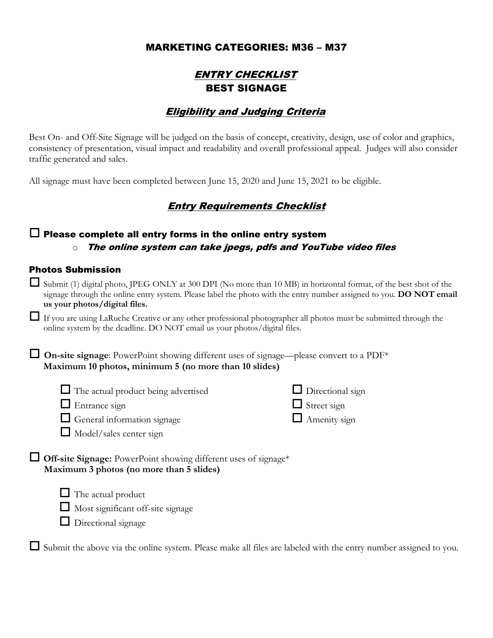### MARKETING CATEGORIES: M36 – M37

## ENTRY CHECKLIST BEST SIGNAGE

### Eligibility and Judging Criteria

Best On- and Off-Site Signage will be judged on the basis of concept, creativity, design, use of color and graphics, consistency of presentation, visual impact and readability and overall professional appeal. Judges will also consider traffic generated and sales.

All signage must have been completed between June 15, 2020 and June 15, 2021 to be eligible.

### Entry Requirements Checklist

### $\Box$  Please complete all entry forms in the online entry system  $\circ$  The online system can take jpegs, pdfs and YouTube video files

#### Photos Submission

- $\Box$  Submit (1) digital photo, JPEG ONLY at 300 DPI (No more than 10 MB) in horizontal format, of the best shot of the signage through the online entry system. Please label the photo with the entry number assigned to you. **DO NOT email us your photos/digital files.**
- If you are using LaRuche Creative or any other professional photographer all photos must be submitted through the online system by the deadline. DO NOT email us your photos/digital files.

 **On-site signage**: PowerPoint showing different uses of signage—please convert to a PDF\* **Maximum 10 photos, minimum 5 (no more than 10 slides)**

| $\Box$ The actual product being advertised | $\Box$ Directional sign |
|--------------------------------------------|-------------------------|
| $\Box$ Entrance sign                       | $\Box$ Street sign      |
| $\Box$ General information signage         | $\Box$ Amenity sign     |

- **Off-site Signage:** PowerPoint showing different uses of signage\* **Maximum 3 photos (no more than 5 slides)**
	- $\Box$  The actual product

 $\Box$  Model/sales center sign

- $\Box$  Most significant off-site signage
- $\Box$  Directional signage

 $\Box$  Submit the above via the online system. Please make all files are labeled with the entry number assigned to you.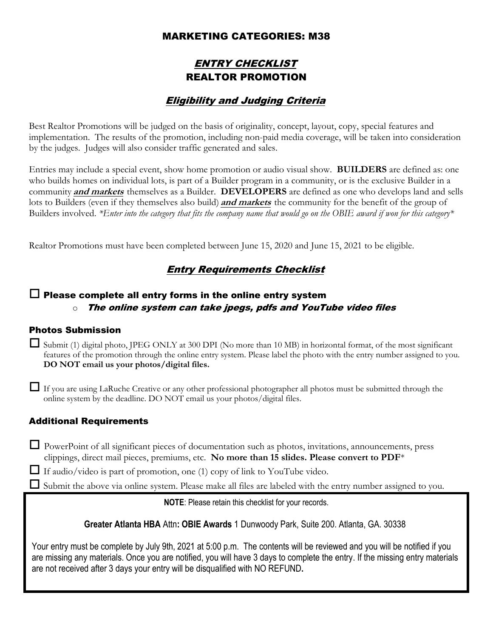### MARKETING CATEGORIES: M38

## ENTRY CHECKLIST REALTOR PROMOTION

### Eligibility and Judging Criteria

Best Realtor Promotions will be judged on the basis of originality, concept, layout, copy, special features and implementation. The results of the promotion, including non-paid media coverage, will be taken into consideration by the judges. Judges will also consider traffic generated and sales.

Entries may include a special event, show home promotion or audio visual show. **BUILDERS** are defined as: one who builds homes on individual lots, is part of a Builder program in a community, or is the exclusive Builder in a community **and markets** themselves as a Builder. **DEVELOPERS** are defined as one who develops land and sells lots to Builders (even if they themselves also build) **and markets** the community for the benefit of the group of Builders involved. *\*Enter into the category that fits the company name that would go on the OBIE award if won for this category\**

Realtor Promotions must have been completed between June 15, 2020 and June 15, 2021 to be eligible.

## **Entry Requirements Checklist**

#### $\Box$  Please complete all entry forms in the online entry system  $\circ$  The online system can take ipegs, pdfs and YouTube video files

#### Photos Submission

- $\Box$  Submit (1) digital photo, JPEG ONLY at 300 DPI (No more than 10 MB) in horizontal format, of the most significant features of the promotion through the online entry system. Please label the photo with the entry number assigned to you. **DO NOT email us your photos/digital files.**
- If you are using LaRuche Creative or any other professional photographer all photos must be submitted through the online system by the deadline. DO NOT email us your photos/digital files.

#### Additional Requirements

 PowerPoint of all significant pieces of documentation such as photos, invitations, announcements, press clippings, direct mail pieces, premiums, etc. **No more than 15 slides. Please convert to PDF**\*

 $\Box$  If audio/video is part of promotion, one (1) copy of link to YouTube video.

 $\Box$  Submit the above via online system. Please make all files are labeled with the entry number assigned to you.

#### **NOTE**: Please retain this checklist for your records.

**Greater Atlanta HBA** Attn**: OBIE Awards** 1 Dunwoody Park, Suite 200. Atlanta, GA. 30338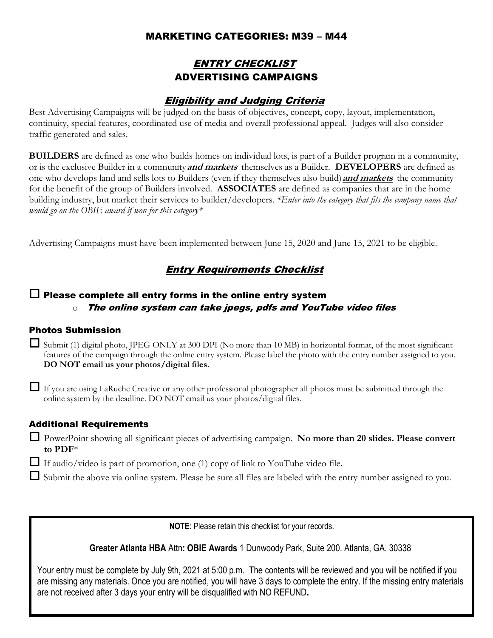### MARKETING CATEGORIES: M39 – M44

## ENTRY CHECKLIST ADVERTISING CAMPAIGNS

### Eligibility and Judging Criteria

Best Advertising Campaigns will be judged on the basis of objectives, concept, copy, layout, implementation, continuity, special features, coordinated use of media and overall professional appeal. Judges will also consider traffic generated and sales.

**BUILDERS** are defined as one who builds homes on individual lots, is part of a Builder program in a community, or is the exclusive Builder in a community **and markets** themselves as a Builder. **DEVELOPERS** are defined as one who develops land and sells lots to Builders (even if they themselves also build) **and markets** the community for the benefit of the group of Builders involved. **ASSOCIATES** are defined as companies that are in the home building industry, but market their services to builder/developers. *\*Enter into the category that fits the company name that would go on the OBIE award if won for this category\** 

Advertising Campaigns must have been implemented between June 15, 2020 and June 15, 2021 to be eligible.

## **Entry Requirements Checklist**

# $\square$  Please complete all entry forms in the online entry system

#### $\circ$  The online system can take ipegs, pdfs and YouTube video files

#### Photos Submission

- $\Box$  Submit (1) digital photo, JPEG ONLY at 300 DPI (No more than 10 MB) in horizontal format, of the most significant features of the campaign through the online entry system. Please label the photo with the entry number assigned to you. **DO NOT email us your photos/digital files.**
- If you are using LaRuche Creative or any other professional photographer all photos must be submitted through the online system by the deadline. DO NOT email us your photos/digital files.

#### Additional Requirements

 PowerPoint showing all significant pieces of advertising campaign. **No more than 20 slides. Please convert to PDF**\*

 $\Box$  If audio/video is part of promotion, one (1) copy of link to YouTube video file.

 $\Box$  Submit the above via online system. Please be sure all files are labeled with the entry number assigned to you.

**NOTE**: Please retain this checklist for your records.

**Greater Atlanta HBA** Attn**: OBIE Awards** 1 Dunwoody Park, Suite 200. Atlanta, GA. 30338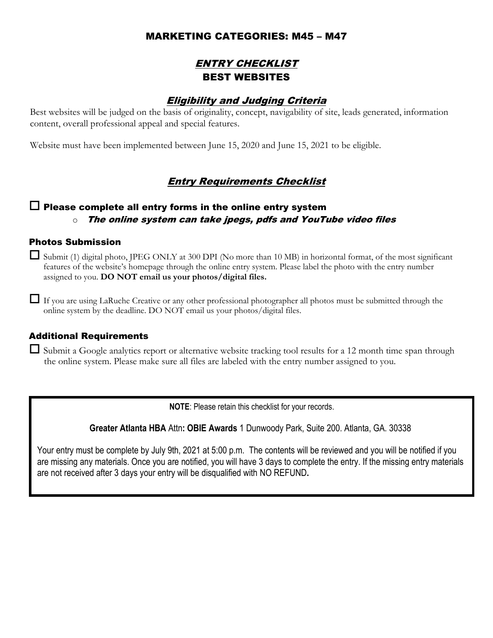### MARKETING CATEGORIES: M45 – M47

## ENTRY CHECKLIST BEST WEBSITES

### Eligibility and Judging Criteria

Best websites will be judged on the basis of originality, concept, navigability of site, leads generated, information content, overall professional appeal and special features.

Website must have been implemented between June 15, 2020 and June 15, 2021 to be eligible.

## Entry Requirements Checklist

### $\Box$  Please complete all entry forms in the online entry system  $\circ$  The online system can take jpegs, pdfs and YouTube video files

#### Photos Submission

 $\Box$  Submit (1) digital photo, JPEG ONLY at 300 DPI (No more than 10 MB) in horizontal format, of the most significant features of the website's homepage through the online entry system. Please label the photo with the entry number assigned to you. **DO NOT email us your photos/digital files.**

 $\Box$  If you are using LaRuche Creative or any other professional photographer all photos must be submitted through the online system by the deadline. DO NOT email us your photos/digital files.

#### Additional Requirements

 $\Box$  Submit a Google analytics report or alternative website tracking tool results for a 12 month time span through the online system. Please make sure all files are labeled with the entry number assigned to you.

**NOTE**: Please retain this checklist for your records.

**Greater Atlanta HBA** Attn**: OBIE Awards** 1 Dunwoody Park, Suite 200. Atlanta, GA. 30338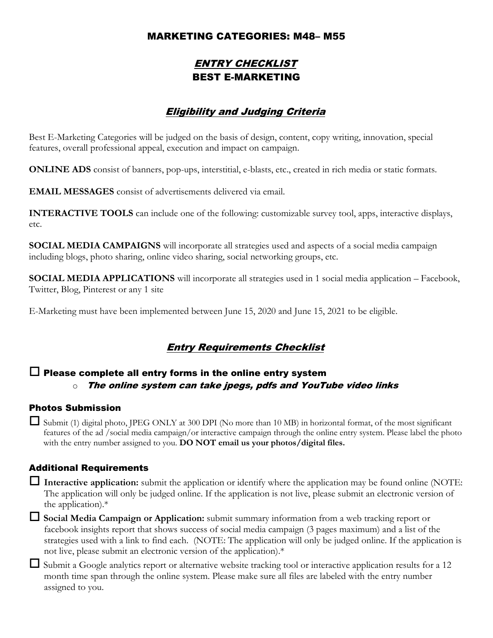### MARKETING CATEGORIES: M48– M55

## ENTRY CHECKLIST BEST E-MARKETING

## Eligibility and Judging Criteria

Best E-Marketing Categories will be judged on the basis of design, content, copy writing, innovation, special features, overall professional appeal, execution and impact on campaign.

**ONLINE ADS** consist of banners, pop-ups, interstitial, e-blasts, etc., created in rich media or static formats.

**EMAIL MESSAGES** consist of advertisements delivered via email.

**INTERACTIVE TOOLS** can include one of the following: customizable survey tool, apps, interactive displays, etc.

**SOCIAL MEDIA CAMPAIGNS** will incorporate all strategies used and aspects of a social media campaign including blogs, photo sharing, online video sharing, social networking groups, etc.

**SOCIAL MEDIA APPLICATIONS** will incorporate all strategies used in 1 social media application – Facebook, Twitter, Blog, Pinterest or any 1 site

E-Marketing must have been implemented between June 15, 2020 and June 15, 2021 to be eligible.

## Entry Requirements Checklist

### $\Box$  Please complete all entry forms in the online entry system  $\circ$  The online system can take jpegs, pdfs and YouTube video links

#### Photos Submission

 $\Box$  Submit (1) digital photo, JPEG ONLY at 300 DPI (No more than 10 MB) in horizontal format, of the most significant features of the ad /social media campaign/or interactive campaign through the online entry system. Please label the photo with the entry number assigned to you. **DO NOT email us your photos/digital files.**

#### Additional Requirements

 **Interactive application:** submit the application or identify where the application may be found online (NOTE: The application will only be judged online. If the application is not live, please submit an electronic version of the application).\*

 **Social Media Campaign or Application:** submit summary information from a web tracking report or facebook insights report that shows success of social media campaign (3 pages maximum) and a list of the strategies used with a link to find each. (NOTE: The application will only be judged online. If the application is not live, please submit an electronic version of the application).\*

 $\Box$  Submit a Google analytics report or alternative website tracking tool or interactive application results for a 12 month time span through the online system. Please make sure all files are labeled with the entry number assigned to you.